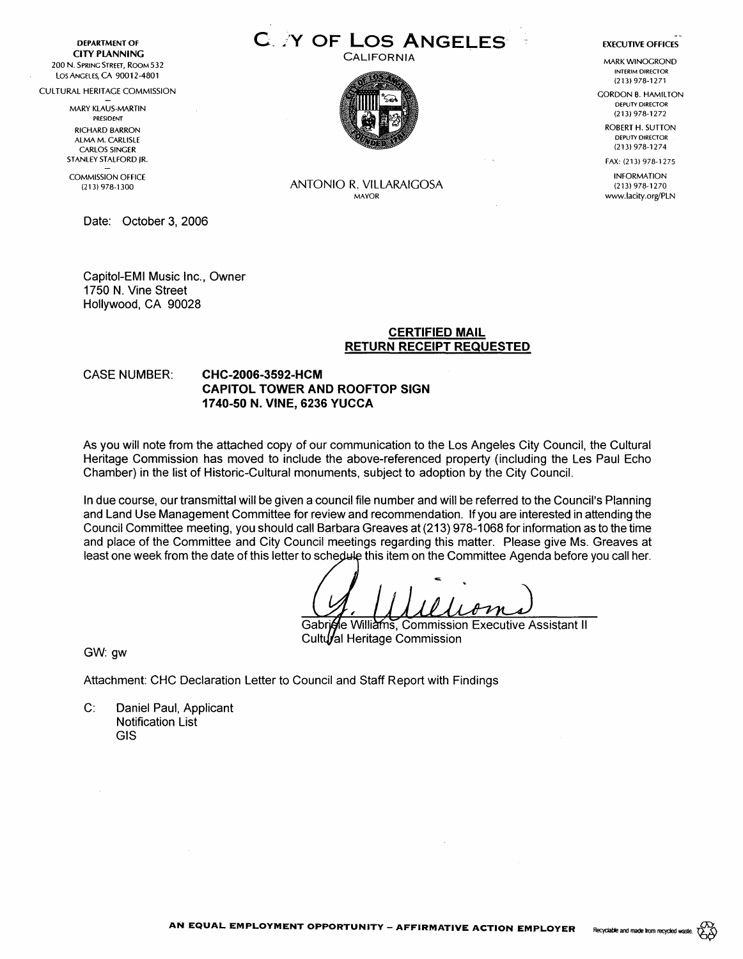**DEPARTMENT OF CITY PLANNING**  200 N. SPRING STREET, ROOM 532 Los ANGELES, CA 90012-4801

CULTURAL HERITAGE COMMISSION

MARY KLAUS-MARTIN PRESIDENT

RICHARD BARRON ALMA M. CARLISLE CARLOS SINGER STANLEY STALFORD JR.

COMMISSION OFFICE (213) 978-1300

Date: October 3, 2006

Capitol-EM! Music Inc., Owner 1750 N. Vine Street Hollywood, CA 90028

# **C\_ /Y OF Los ANGELES-**CALIFORNIA



#### **EXECUTIVE OFFICES**

MARK WINOGROND INTERIM DIRECTOR (213) 978-1271

GORDON B. HAMILTON DEPUTY DIRECTOR (213) 978-1272

ROBERT H. SUTTON DEPUTY DIRECTOR (213) 978-1274

FAX: (213) 978-1275 INFORMATION

(213) 978-1270 www.lacity.org/PLN

#### ANTONIO R. VILLARAIGOSA MAYOR

# **CERTIFIED MAIL RETURN RECEIPT REQUESTED**

## CASE NUMBER: **CHC-2006-3592-HCM CAPITOL TOWER AND ROOFTOP SIGN 1740-50 N. VINE, 6236 YUCCA**

As you will note from the attached copy of our communication to the Los Angeles City Council, the Cultural Heritage Commission has moved to include the above-referenced property (including the Les Paul Echo Chamber) in the list of Historic-Cultural monuments, subject to adoption by the City Council.

In due course, our transmittal will be given a council file number and will be referred to the Council's Planning and Land Use Management Committee for review and recommendation. If you are interested in attending the Council Committee meeting, you should call Barbara Greaves at (213) 978-1068 for information as to the time and place of the Committee and City Council meetings regarding this matter. Please give Ms. Greaves at least one week from the date of this letter to schedule this item on the Committee Agenda before you call her.

Gabricle Williams, Commission Executive Assistant II Cultual Heritage Commission

GW: gw

Attachment: CHC Declaration Letter to Council and Staff Report with Findings

C: Daniel Paul, Applicant Notification List GIS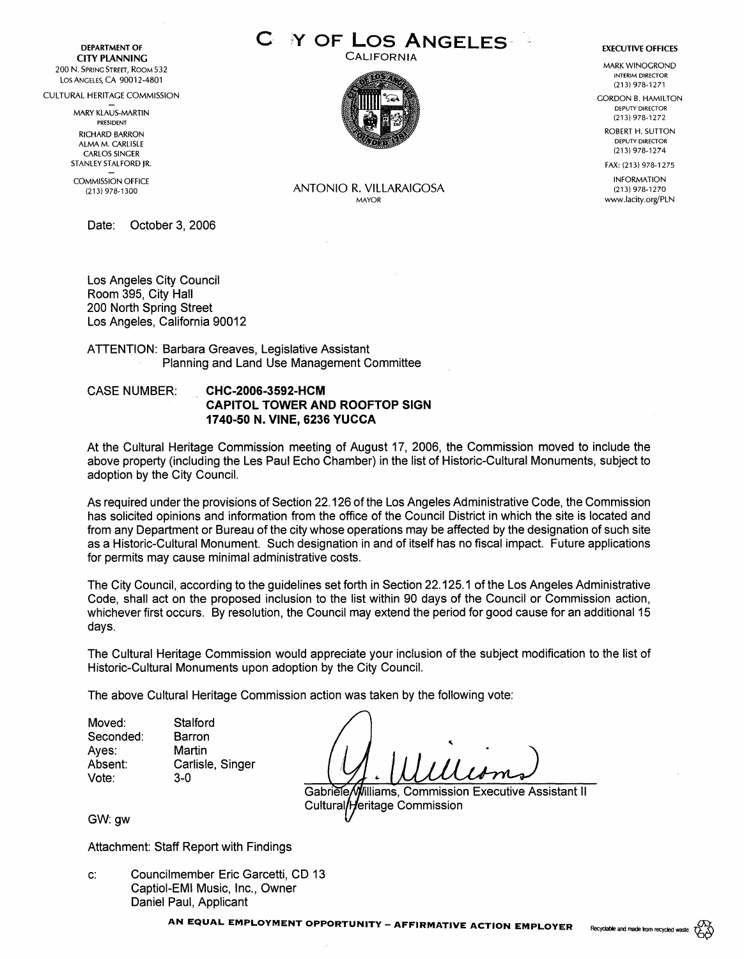**DEPARTMENT OF CITY PLANNING**  200 N. SPRING STREET, ROOM 532 Los ANGELES, CA 90012-4801

CULTURAL HERITAGE COMMISSION

MARY KLAUS-MARTIN PRESIDENT RICHARD BARRON ALMA M. CARLISLE CARLOS SINGER STANLEY STALFORD JR.

COMMISSION OFFICE (213) 978-1300

Date: October 3, 2006

Los Angeles City Council Room 395, City Hall 200 North Spring Street Los Angeles, California 90012

ATTENTION: Barbara Greaves, Legislative Assistant Planning and Land Use Management Committee

## CASE NUMBER: **CHC-2006-3592-HCM CAPITOL TOWER AND ROOFTOP SIGN 1740-50 N. VINE, 6236 YUCCA**

At the Cultural Heritage Commission meeting of August 17, 2006, the Commission moved to include the above property (including the Les Paul Echo Chamber) in the list of Historic-Cultural Monuments, subject to adoption by the City Council.

As required under the provisions of Section 22.126 of the Los Angeles Administrative Code, the Commission has solicited opinions and information from the office of the Council District in which the site is located and from any Department or Bureau of the city whose operations may be affected by the designation of such site as a Historic-Cultural Monument. Such designation in and of itself has no fiscal impact. Future applications for permits may cause minimal administrative costs.

The City Council, according to the guidelines set forth in Section 22.125.1 of the Los Angeles Administrative Code, shall act on the proposed inclusion to the list within 90 days of the Council or Commission action, whichever first occurs. By resolution, the Council may extend the period for good cause for an additional 15 days.

The Cultural Heritage Commission would appreciate your inclusion of the subject modification to the list of Historic-Cultural Monuments upon adoption by the City Council.

The above Cultural Heritage Commission action was taken by the following vote:

Moved: Seconded: Ayes: Absent: Vote: **Stalford** Barron Martin Carlisle, Singer 3-0

Gabriele/Williams, Commission Executive Assistant II Cultural/Heritage Commission

GW:gw

Attachment: Staff Report with Findings

c: Councilmember Eric Garcetti, CD 13 Captiol-EMI Music, Inc., Owner Daniel Paul, Applicant

**Y OF LOS ANGELES** 

**CALIFORNIA** 



ANTONIO R. VILLARAIGOSA MAYOR



MARK WINOGROND INTERIM DIRECTOR (213) 978-1271

**GORDON B. HAMILTON** DEPUTY DIRECTOR (213) 978-1272

> ROBERT H. SUTTON DEPUTY DIRECTOR (213) 978-1274

> FAX: (213) 978-1275

INFORMATION (213) 978-1270 www.lacity.org/PLN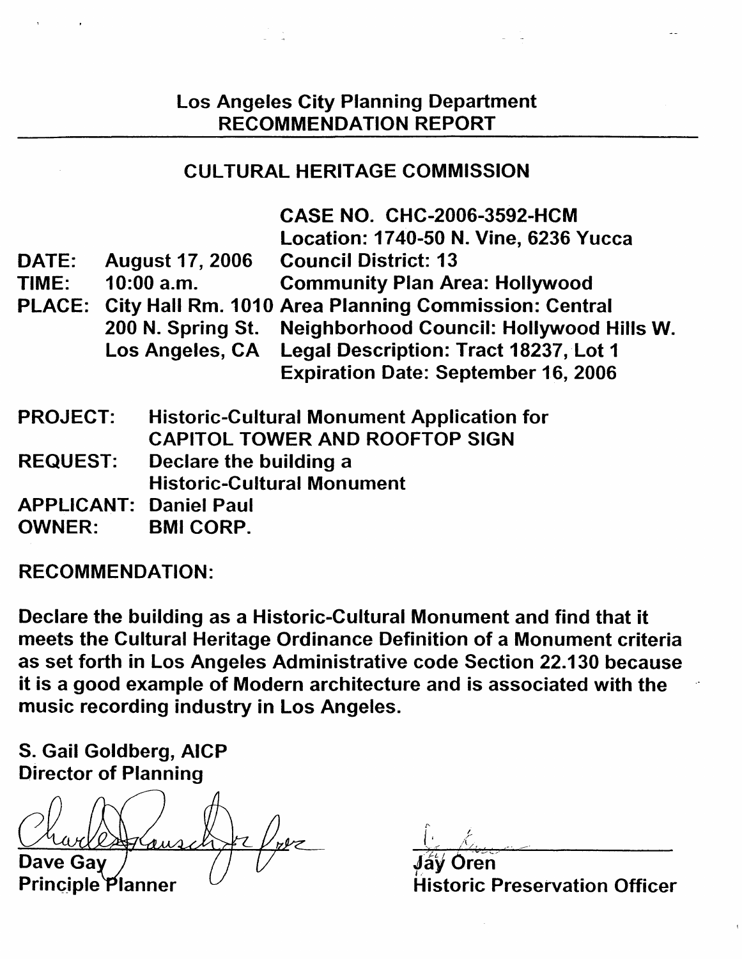# Los Angeles City Planning Department RECOMMENDATION REPORT

# CULTURAL HERITAGE COMMISSION

|                                 |              |                        | <b>CASE NO. CHC-2006-3592-HCM</b>                           |
|---------------------------------|--------------|------------------------|-------------------------------------------------------------|
|                                 |              |                        | Location: 1740-50 N. Vine, 6236 Yucca                       |
| <b>August 17, 2006</b><br>DATE: |              |                        | <b>Council District: 13</b>                                 |
| TIME:                           | $10:00$ a.m. |                        | <b>Community Plan Area: Hollywood</b>                       |
|                                 |              |                        | PLACE: City Hall Rm. 1010 Area Planning Commission: Central |
|                                 |              | 200 N. Spring St.      | Neighborhood Council: Hollywood Hills W.                    |
|                                 |              | Los Angeles, CA        | Legal Description: Tract 18237, Lot 1                       |
|                                 |              |                        | <b>Expiration Date: September 16, 2006</b>                  |
| <b>PROJECT:</b>                 |              |                        | <b>Historic-Cultural Monument Application for</b>           |
|                                 |              |                        | <b>CAPITOL TOWER AND ROOFTOP SIGN</b>                       |
| <b>REQUEST:</b>                 |              | Declare the building a |                                                             |
|                                 |              |                        | <b>Historic-Cultural Monument</b>                           |
| <b>APPLICANT:</b>               |              | <b>Daniel Paul</b>     |                                                             |
| <b>OWNER:</b>                   |              | <b>BMI CORP.</b>       |                                                             |
|                                 |              |                        |                                                             |

**RECOMMENDATION:** 

Declare the building as a Historic-Cultural Monument and find that it meets the Cultural Heritage Ordinance Definition of a Monument criteria as set forth in Los Angeles Administrative code Section 22.130 because it is a good example of Modern architecture and is associated with the music recording industry in Los Angeles.

5. Gail Goldberg, **AICP**  Director of Planning

Dave Ga

Principle Planner

Oren **Historic Preservation Officer**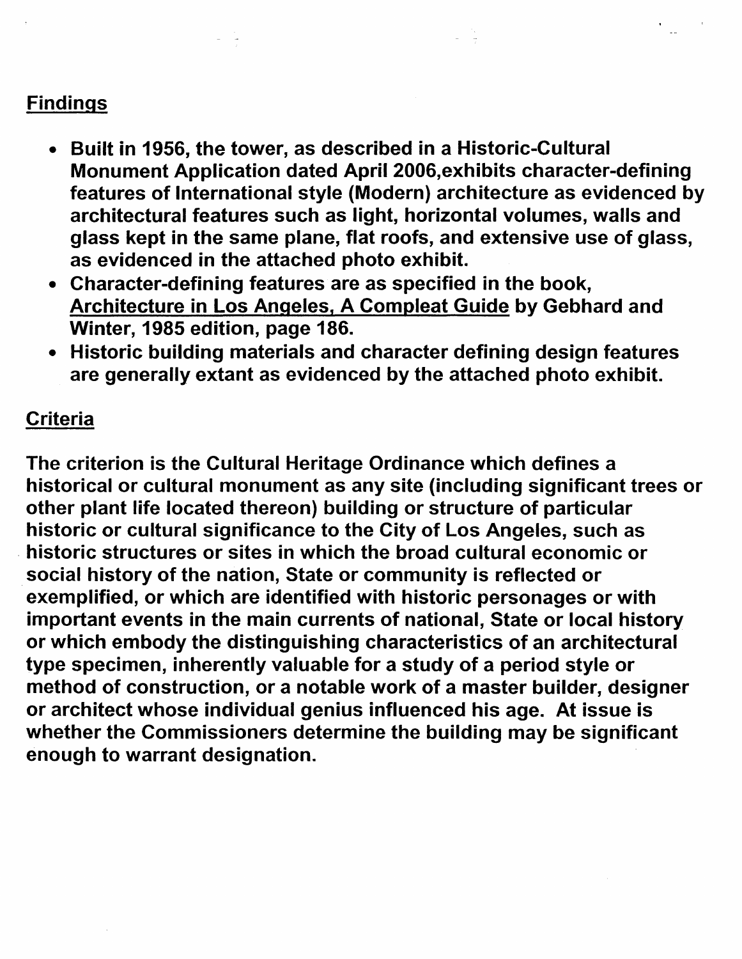# Findings

- Built in 1956, the tower, as described in a Historic-Cultural Monument Application dated **April** 2006,exhibits character-defining features of International style (Modern) architecture as evidenced by architectural features such as light, horizontal volumes, walls and glass kept in the same plane, flat roofs, and extensive use of glass, as evidenced in the attached photo exhibit.
- Character-defining features are as specified in the book, Architecture in Los Angeles, A Compleat Guide by Gebhard and Winter, 1985 edition, page 186.
- Historic building materials and character defining design features are generally extant as evidenced by the attached photo exhibit.

# **Criteria**

The criterion is the Cultural Heritage Ordinance which defines a historical or cultural monument as any site (including significant trees or other plant life located thereon) building or structure of particular historic or cultural significance to the City of Los Angeles, such as . historic structures or sites in which the broad cultural economic or . social history of the nation, State or community is reflected or exemplified, or which are identified with historic personages or with important events in the main currents of national, State or local history or which embody the distinguishing characteristics of an architectural type specimen, inherently valuable for a study of a period style or method of construction, or a notable work of a master builder, designer or architect whose individual genius influenced his age. At issue is whether the Commissioners determine the building may be significant enough to warrant designation.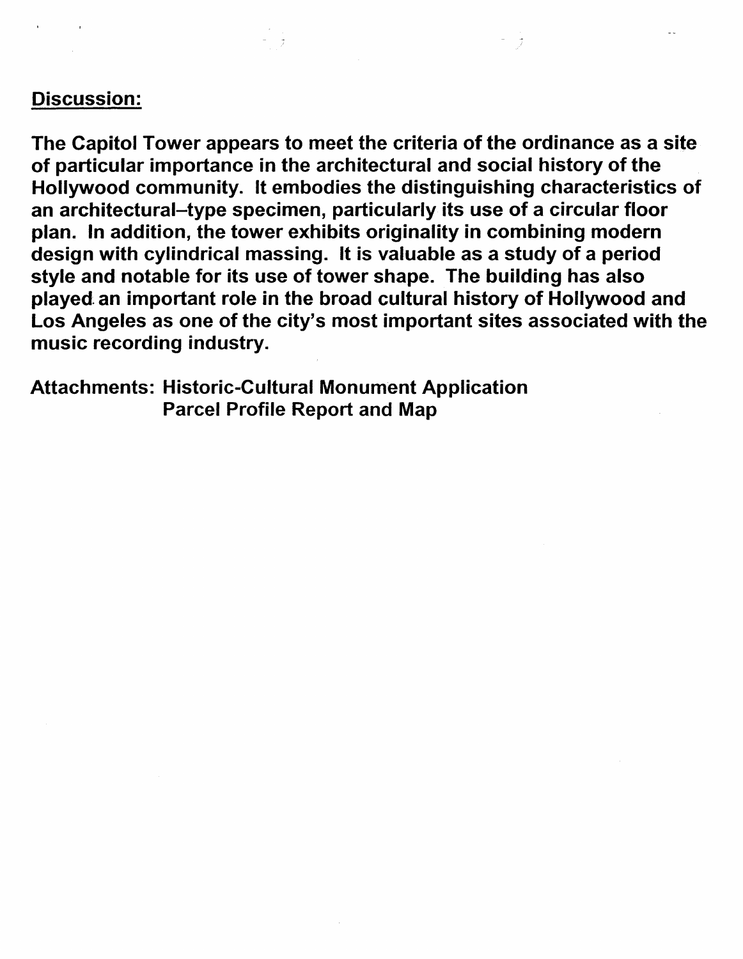# Discussion:

The Capitol Tower appears to meet the criteria of the ordinance as a site of particular importance in the architectural and social history of the Hollywood community. It embodies the distinguishing characteristics of an architectural-type specimen, particularly its use of a circular floor plan. In addition, the tower exhibits originality in combining modern design with cylindrical massing. It is valuable as a study of a period style and notable for its use of tower shape. The building has also played an important role in the broad cultural history of Hollywood and Los Angeles as one of the city's most important sites associated with the music recording industry.

Attachments: Historic-Cultural Monument Application Parcel Profile Report and Map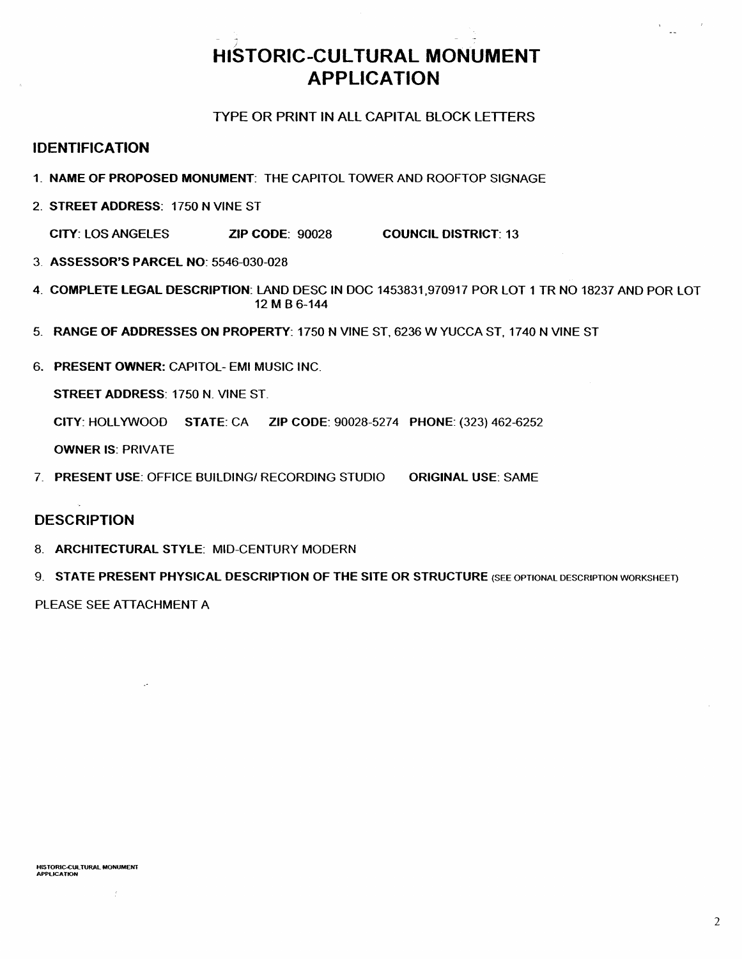# **HISTORIC-CULTURAL MONUMENT APPLICATION**

# TYPE OR PRINT IN ALL CAPITAL BLOCK LETTERS

# **IDENTIFICATION**

- 1. **NAME OF PROPOSED MONUMENT:** THE CAPITOL TOWER AND ROOFTOP SIGNAGE
- 2. **STREET ADDRESS:** 1750 N VINE ST

**CITY:** LOS ANGELES **ZIP CODE:** 90028 **COUNCIL DISTRICT:** 13

- 3. **ASSESSOR'S PARCEL NO:** 5546-030-028
- 4. **COMPLETE LEGAL DESCRIPTION:** LAND OESC IN DOC 1453831.970917 POR LOT 1 TR NO 18237 ANO POR LOT 12 MB 6-144
- 5. RANGE OF ADDRESSES ON PROPERTY: 1750 N VINE ST, 6236 W YUCCA ST, 1740 N VINE ST
- 6. PRESENT **OWNER:** CAPITOL- EMI MUSIC INC.

**STREET ADDRESS:** 1750 N. VINE ST.

**CITY:** HOLLYWOOD **STATE:** CA **ZIP CODE:** 90028-5274 **PHONE:** (323) 462-6252

**OWNER IS:** PRIVATE

7. **PRESENT USE:** OFFICE BUILDING/ RECORDING STUDIO **ORIGINAL USE:** SAME

# **DESCRIPTION**

- 8. **ARCHITECTURAL STYLE:** MID-CENTURY MODERN
- 9. **STATE PRESENT PHYSICAL DESCRIPTION OF THE SITE OR STRUCTURE** (SEE OPTIONAL DESCRIPTION WORKSHEET)

PLEASE SEE ATTACHMENT A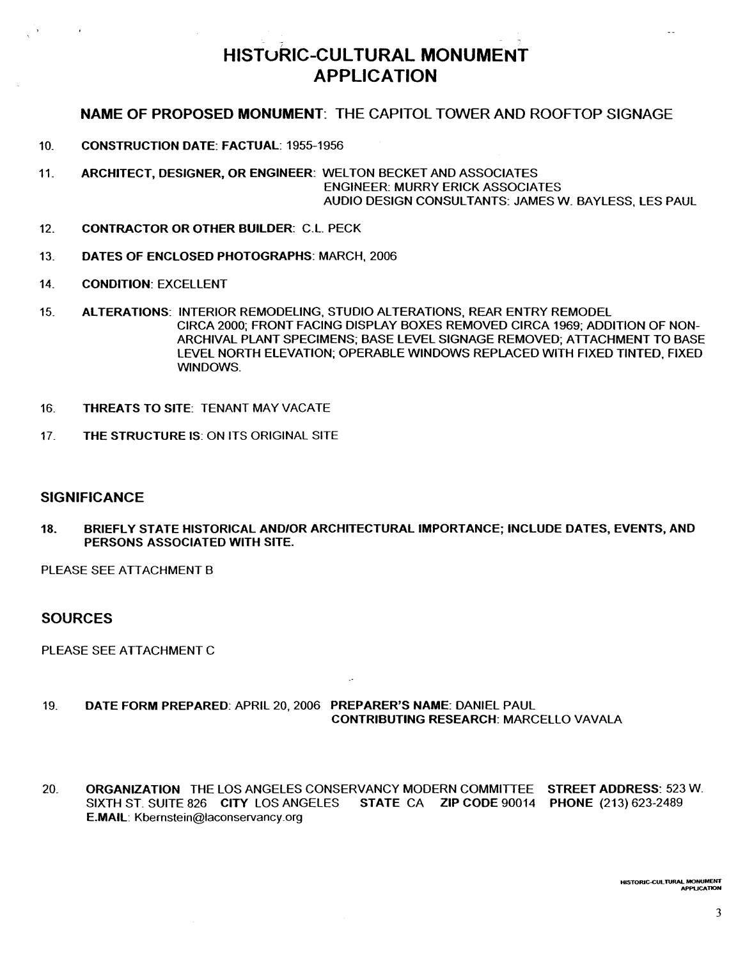# HISTORIC-CULTURAL **MONUMENT**  APPLICATION

# **NAME** OF PROPOSED **MONUMENT:** THE CAPITOL TOWER AND ROOFTOP SIGNAGE

10. **CONSTRUCTION DATE: FACTUAL:** 1955-1956

- 11. **ARCHITECT, DESIGNER, OR ENGINEER:** WELTON BECKET AND ASSOCIATES **ENGINEER: MURRY ERICK ASSOCIATES** AUDIO DESIGN CONSULTANTS: JAMES W. BAYLESS, LES PAUL
- 12. **CONTRACTOR OR OTHER BUILDER:** C.L. PECK
- 13. **DATES OF ENCLOSED PHOTOGRAPHS:** MARCH, 2006
- 14. **CONDITION:** EXCELLENT
- 15. **ALTERATIONS:** INTERIOR REMODELING, STUDIO ALTERATIONS, REAR ENTRY REMODEL CIRCA 2000; FRONT FACING DISPLAY BOXES REMOVED CIRCA 1969; ADDITION OF NON-ARCHIVAL PLANT SPECIMENS; BASE LEVEL SIGNAGE REMOVED; ATTACHMENT TO BASE LEVEL NORTH ELEVATION; OPERABLE WINDOWS REPLACED WITH FIXED TINTED, FIXED WINDOWS.
- 16. THREATS TO SITE: TENANT MAY VACATE
- 17. THE STRUCTURE IS: ON ITS ORIGINAL SITE

## **SIGNIFICANCE**

18. BRIEFLY STATE HISTORICAL AND/OR ARCHITECTURAL IMPORTANCE; INCLUDE OATES, EVENTS, ANO PERSONS ASSOCIATED WITH SITE.

PLEASE SEE ATTACHMENT 8

## **SOURCES**

PLEASE SEE ATTACHMENT C

## 19. **DATE FORM PREPARED:** APRIL 20, 2006 **PREPARER'S NAME:** DANIEL PAUL **CONTRIBUTING RESEARCH:** MARCELLO VAVALA

20. **ORGANIZATION** THE LOS ANGELES CONSERVANCY MODERN COMMITTEE **STREET ADDRESS:** 523 **W.**  SIXTH ST. SUITE 826 **CITY** LOS ANGELES **STATE** CA **ZIP CODE** 90014 **PHONE** (213) 623-2489 **E.MAIL:** Kbernstein@laconservancy.org

**HISTORIC-{;UL TURAL MONUMENT APPLICATION**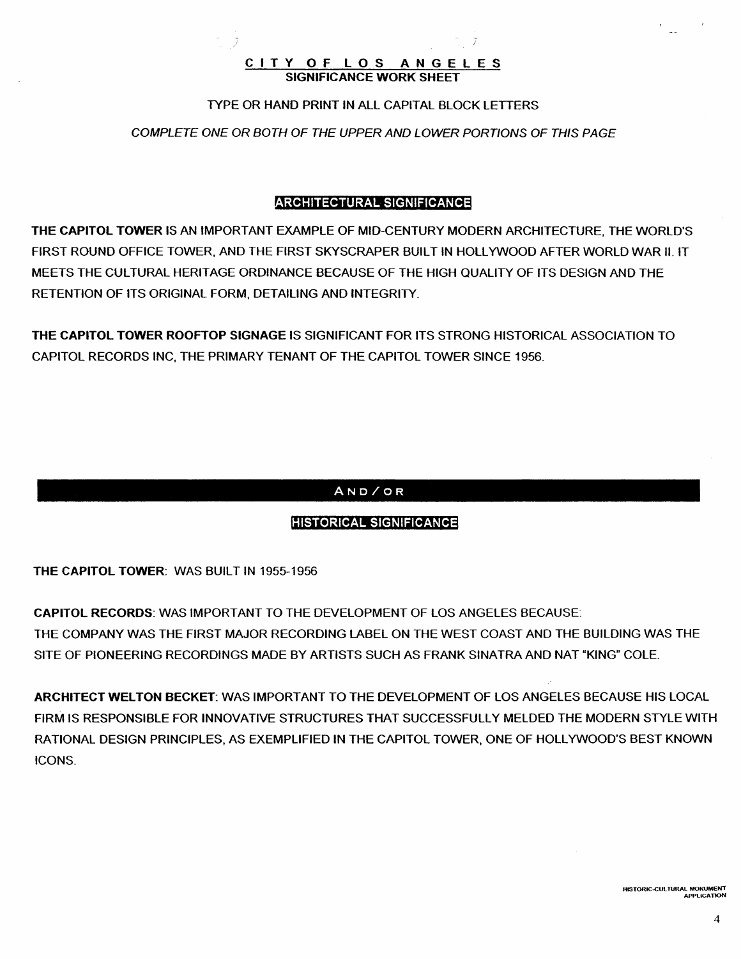## **CITY OF LOS ANGELES SIGNIFICANCE WORK** SHEET

- - J

## TYPE OR HAND PRINT IN ALL CAPITAL BLOCK LETTERS

COMPLETE ONE OR BOTH OF THE UPPER AND LOWER PORTIONS OF THIS PAGE

# RCHITECTURAL **SIGNIFICANCE**

THE **CAPITOL TOWER** IS AN IMPORTANT EXAMPLE OF MID-CENTURY MODERN ARCHITECTURE, THE WORLD'S FIRST ROUND OFFICE TOWER, AND THE FIRST SKYSCRAPER BUILT IN HOLLYWOOD AFTER WORLD WAR II. IT MEETS THE CULTURAL HERITAGE ORDINANCE BECAUSE OF THE HIGH QUALITY OF ITS DESIGN AND THE RETENTION OF ITS ORIGINAL FORM, DETAILING AND INTEGRITY.

**THE CAPITOL TOWER ROOFTOP SIGNAGE** IS SIGNIFICANT FOR ITS STRONG HISTORICAL ASSOCIATION TO CAPITOL RECORDS INC, THE PRIMARY TENANT OF THE CAPITOL TOWER SINCE 1956.

# **AND/OR**

# **HISTORICAL SIGNIFICANCE**

**THE CAPITOL TOWER: WAS BUILT IN 1955-1956** 

**CAPITOL RECORDS:** WAS IMPORTANT TO THE DEVELOPMENT OF LOS ANGELES BECAUSE: THE COMPANY WAS THE FIRST MAJOR RECORDING LABEL ON THE WEST COAST AND THE BUILDING WAS THE SITE OF PIONEERING RECORDINGS MADE BY ARTISTS SUCH AS FRANK SINATRA AND NAT "KING" COLE.

**ARCHITECT WELTON BECKET:** WAS IMPORTANT TO THE DEVELOPMENT OF LOS ANGELES BECAUSE HIS LOCAL FIRM IS RESPONSIBLE FOR INNOVATIVE STRUCTURES THAT SUCCESSFULLY MELDED THE MODERN STYLE WITH RATIONAL DESIGN PRINCIPLES, AS EXEMPLIFIED IN THE CAPITOL TOWER, ONE OF HOLLYWOOD'S BEST **KNOWN**  ICONS.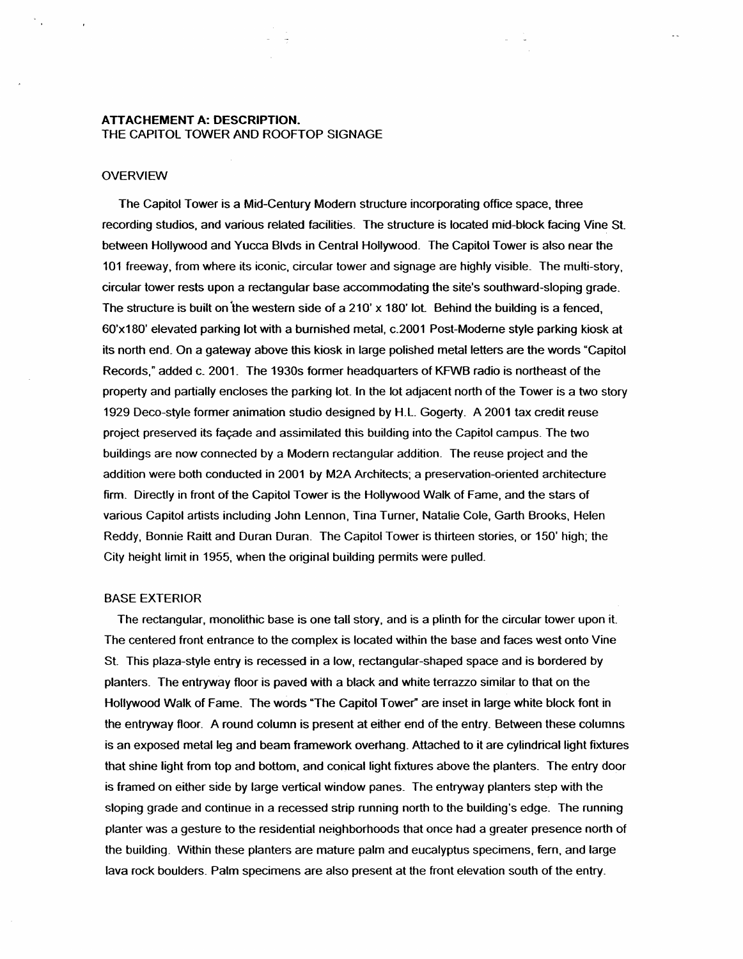## **ATTACHEMENT A: DESCRIPTION.** THE CAPITOL TOWER AND ROOFTOP SIGNAGE

### **OVERVIEW**

The Capitol Tower is a Mid-Century Modern structure incorporating office space, three recording studios, and various related facilities. The structure is located mid-block facing Vine St. between Hollywood and Yucca Blvds in Central Hollywood. The Capitol Tower is also near the 101 freeway, from where its iconic, circular tower and signage are highly visible\_ The mufti-story, circular tower rests upon a rectangular base accommodating the site's southward-sloping grade. The structure is built on the western side of a  $210'$  x 180' lot. Behind the building is a fenced, 60'x180' elevated parking lot with a burnished metal, c.2001 Post-Moderne style parking kiosk at its north end. On a gateway above this kiosk in large polished metal letters are the words "Capitol Records," added c\_ 2001. The 1930s former headquarters of KFWB radio is northeast of the property and partially encloses the parking lot. In the lot adjacent north of the Tower is a two story 1929 Deco-style former animation studio designed by H.L Gogerty. A 2001 tax credit reuse project preserved its facade and assimilated this building into the Capitol campus. The two buildings are now connected by a Modern rectangular addition. The reuse project and the addition were both conducted in 2001 by M2A Architects; a preservation-oriented architecture firm. Directly in front of the Capitol Tower is the Hollywood Walk of Fame, and the stars of various Capitol artists including John Lennon, Tina Turner, Natalie Cole, Garth Brooks, Helen Reddy, Bonnie Raitt and Duran Duran. The Capitol Tower is thirteen stories, or 150' high; the City height limit in 1955, when the original building permits were pulled.

#### BASE EXTERIOR

The rectangular, monolithic base is one tall story, and is a plinth for the circular tower upon it. The centered front entrance to the complex is located within the base and faces west onto Vine St. This plaza-style entry is recessed in a low, rectangular-shaped space and is bordered by planters. The entryway floor is paved with a black and white terrazzo similar to that on the Hollywood Walk of Fame. The words "The Capitol Tower" are inset in large white block font in the entryway floor. A round column is present at either end of the entry. Between these columns is an exposed metal leg and beam framework overhang. Attached to it are cylindrical light fixtures that shine light from top and bottom, and conical light fixtures above the planters. The entry door is framed on either side by large vertical window panes\_ The entryway planters step with the sloping grade and continue in a recessed strip running north to the building's edge. The running planter was a gesture to the residential neighborhoods that once had a greater presence north of the building. Within these planters are mature palm and eucalyptus specimens, fern, and large lava rock boulders. Palm specimens are also present at the front elevation south of the entry.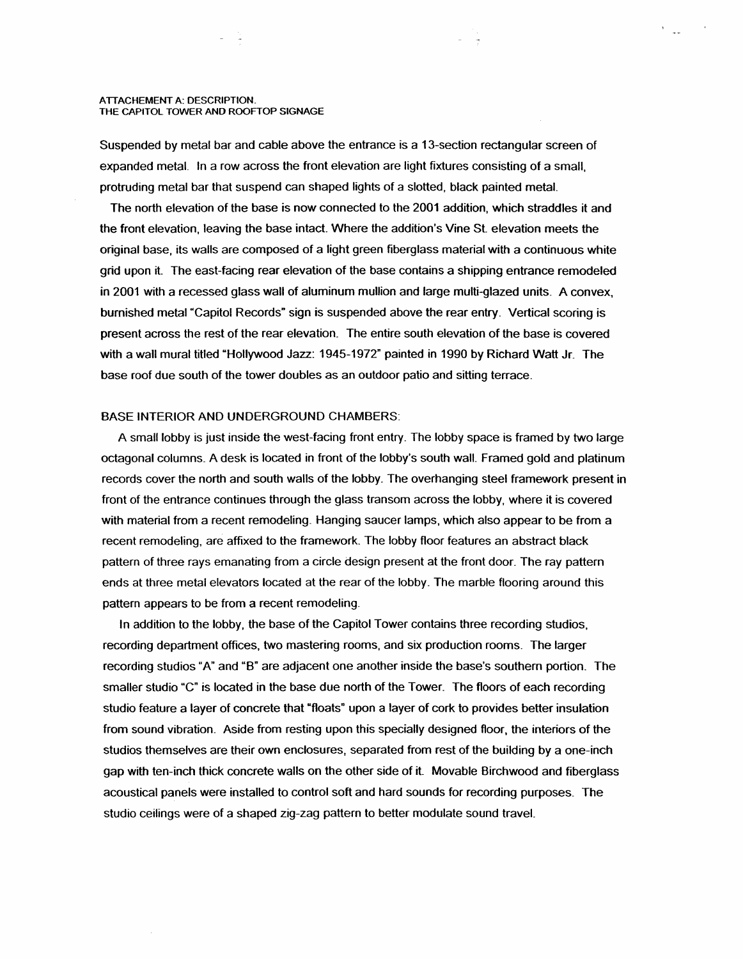#### A TTACHEMENT A: DESCRIPTION\_ THE CAPITOL TOWER AND ROOFTOP SIGNAGE

Suspended by metal bar and cable above the entrance is a 13-section rectangular screen of expanded metal. In a row across the front elevation are light fixtures consisting of a small, protruding metal bar that suspend can shaped lights of a slotted, black painted metat

 $\mathcal{L}_{\text{max}}$ 

The north elevation of the base is now connected to the 2001 addition, which straddles it and the front elevation, leaving the base intact Where the addition's Vine St elevation meets the original base, its walls are composed of a light green fiberglass material with a continuous white grid upon it The east-facing rear elevation of the base contains a shipping entrance remodeled in 2001 with a recessed glass wall of aluminum mullion and large multi-glazed units\_ A convex, burnished metal "Capitol Records" sign is suspended above the rear entry\_ Vertical scoring is present across the rest of the rear elevation\_ The entire south elevation of the base is covered with a wall mural titled "Hollywood Jazz: 1945-1972" painted in 1990 by Richard Watt Jr\_ The base roof due south of the tower doubles as an outdoor patio and sitting terrace.

### BASE INTERIOR AND UNDERGROUND CHAMBERS:

A small lobby is just inside the west-facing front entry\_ The lobby space is framed by two large octagonal columns. A desk is located in front of the lobby's south wall. Framed gold and platinum records cover the north and south walls of the lobby. The overhanging steel framework present in front of the entrance continues through the glass transom across the lobby, where it is covered with material from a recent remodeling. Hanging saucer lamps, which also appear to be from a recent remodeling, are affixed to the framework\_ The lobby floor features an abstract black pattern of three rays emanating from a circle design present at the front door. The ray pattern ends at three metal elevators located at the rear of the lobby\_ The marble flooring around this pattern appears to be from a recent remodeling.

In addition to the lobby, the base of the Capitol Tower contains three recording studios, recording department offices, two mastering rooms, and six production rooms. The larger recording studios "A" and "B" are adjacent one another inside the base's southern portion\_ The smaller studio "C" is located in the base due north of the Tower. The floors of each recording studio feature a layer of concrete that "floats" upon a layer of cork to provides better insulation from sound vibration\_ Aside from resting upon this specially designed floor, the interiors of the studios themselves are their own enclosures, separated from rest of the building by a one-inch gap with ten-inch thick concrete walls on the other side of it Movable Birchwood and fiberglass acoustical panels were installed to control soft and hard sounds for recording purposes\_ The studio ceilings were of a shaped zig-zag pattern to better modulate sound traveL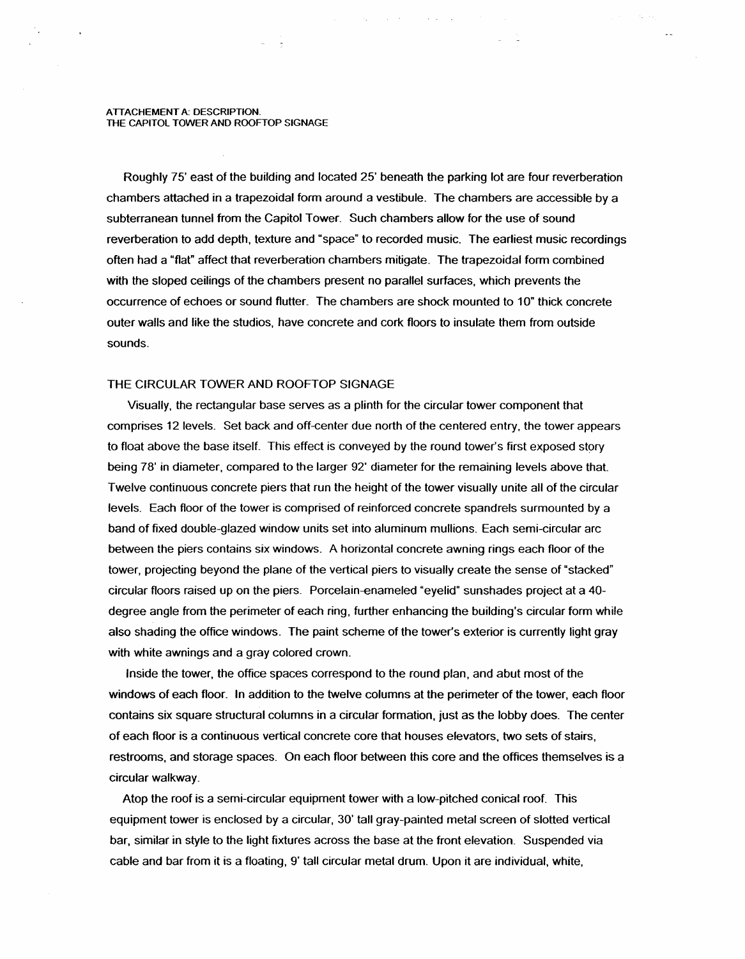#### A TTACHEMENT A: DESCRIPTION\_ THE CAPITOL TOWER AND ROOFTOP SIGNAGE

Roughly 75' east of the building and located 25' beneath the parking lot are four reverberation chambers attached in a trapezoidal form around a vestibule\_ The chambers are accessible by a subterranean tunnel from the Capitol Tower\_ Such chambers allow for the use of sound reverberation to add depth, texture and "space" to recorded music\_ The earliest music recordings often had a "flat" affect that reverberation chambers mitigate\_ The trapezoidal form combined with the sloped ceilings of the chambers present no parallel surfaces, which prevents the occurrence of echoes or sound flutter. The chambers are shock mounted to 10" thick concrete outer walls and like the studios, have concrete and cork floors to insulate them from outside sounds\_

#### THE CIRCULAR TOWER AND ROOFTOP SIGNAGE

Visually, the rectangular base serves as a plinth for the circular tower component that comprises 12 levels\_ Set back and off-center due north of the centered entry, the tower appears to float above the base itself. This effect is conveyed by the round tower's first exposed story being 78' in diameter, compared to the larger 92' diameter for the remaining levels above that Twelve continuous concrete piers that run the height of the tower visually unite all of the circular levels. Each floor of the tower is comprised of reinforced concrete spandrels surmounted by a band of fixed double-glazed window units set into aluminum mullions\_ Each semi-circular arc between the piers contains six windows. A horizontal concrete awning rings each floor of the tower, projecting beyond the plane of the vertical piers to visually create the sense of "stacked" circular floors raised up on the piers\_ Porcelain-enameled "eyelid" sunshades project at a 40 degree angle from the perimeter of each ring, further enhancing the building's circular form while also shading the office windows. The paint scheme of the tower's exterior is currently light gray with white awnings and a gray colored crown.

Inside the tower, the office spaces correspond to the round plan, and abut most of the windows of each floor. In addition to the twelve columns at the perimeter of the tower, each floor contains six square structural columns in a circular formation, just as the lobby does\_ The center of each floor is a continuous vertical concrete core that houses elevators, two sets of stairs, restrooms, and storage spaces. On each floor between this core and the offices themselves is a circular walkway\_

Atop the roof is a semi-circular equipment tower with a low-pitched conical roof\_ This equipment tower is enclosed by a circular. 30' tall gray-painted metal screen of slotted vertical bar, similar in style to the light fixtures across the base at the front elevation\_ Suspended via cable and bar from it is a floating, 9' tall circular metal drum\_ Upon it are individual, white,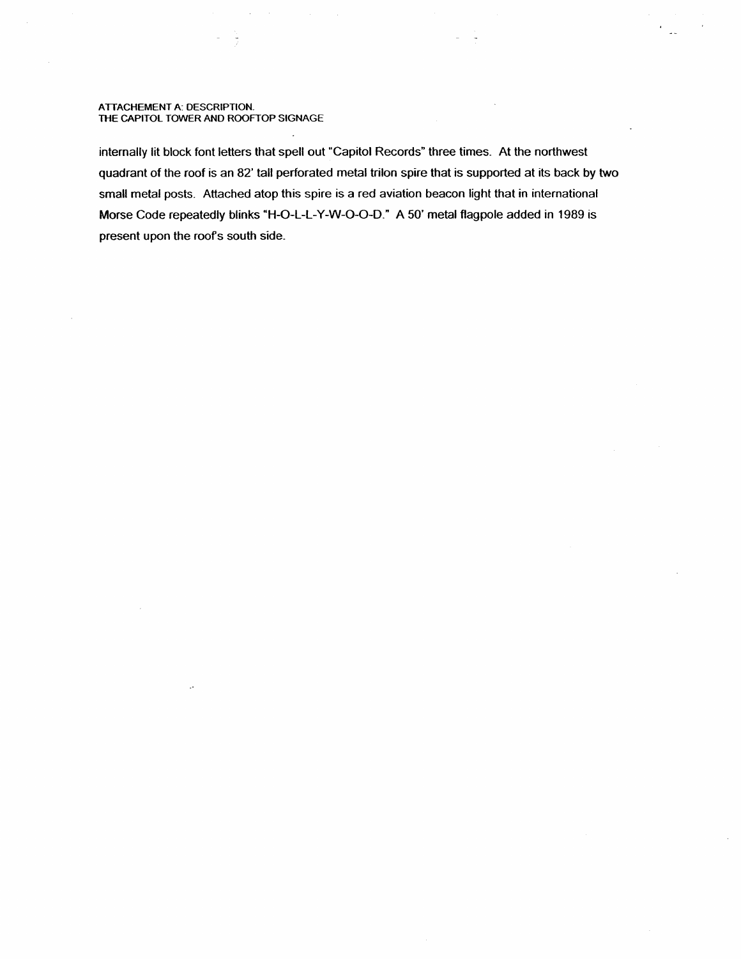#### A TTACHEMENT A: DESCRIPTION. THE CAPITOL TOWER ANO ROOFTOP SIGNAGE

internally lit block font letters that spell out "Capitol Records" three times. At the northwest quadrant of the roof is an 82' tall perforated metal triton spire that is supported at its back by two small metal posts. Attached atop this spire is a red aviation beacon light that in international Morse Code repeatedly blinks "H-O-L-L-Y-W-0-0-D." A 50' metal flagpole added in 1989 is present upon the roofs south side.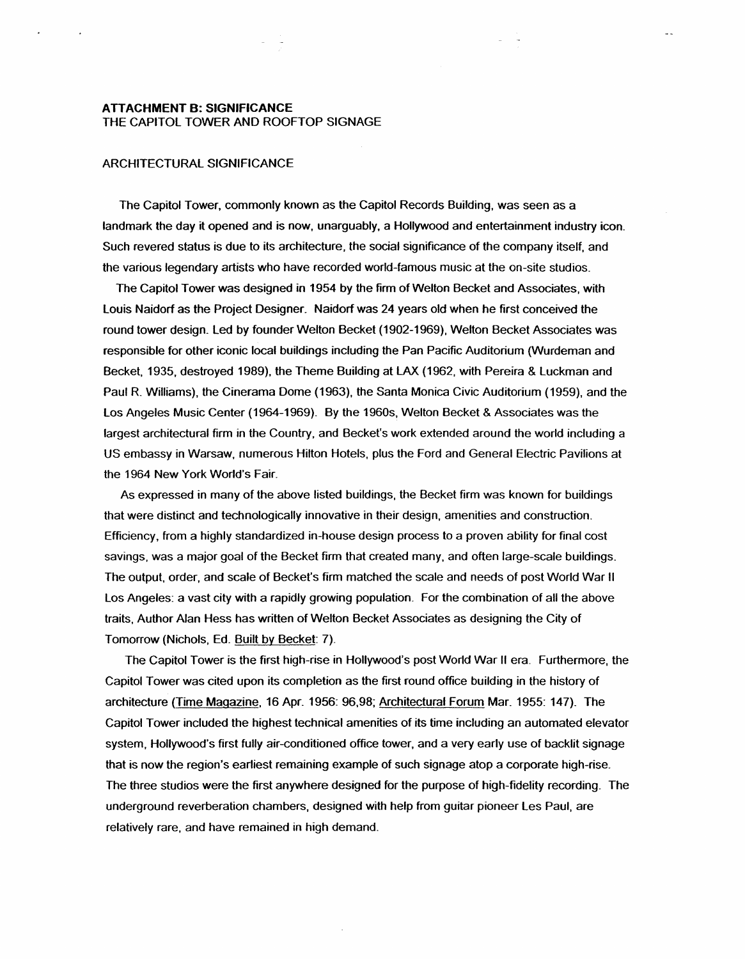### ARCHITECTURAL SIGNIFICANCE

The Capitol Tower. commonly known as the Capitol Records Building, was seen as a landmark the day it opened and is now, unarguably, a Hollywood and entertainment industry icon. Such revered status is due to its architecture, the social significance of the company itself, and the various legendary artists who have recorded world-famous music at the on-site studios.

The Capitol Tower was designed in 1954 by the firm of Welton Becket and Associates, with Louis Naidorf as the Project Designer. Naidorf was 24 years old when he first conceived the round tower design. Led by founder Welton Becket (1902-1969), Welton Becket Associates was responsible for other iconic local buildings including the Pan Pacific Auditorium (Wurdeman and Becket, 1935, destroyed 1989), the Theme Building at LAX (1962, with Pereira & Luckman and Paul R Williams), the Cinerama Dome (1963), the Santa Monica Civic Auditorium (1959), and the Los Angeles Music Center (1964-1969). By the 1960s, Welton Becket & Associates was the largest architectural firm in the Country, and Becket's work extended around the world including a US embassy in Warsaw, numerous Hilton Hotels, plus the Ford and General Electric Pavilions at the 1964 New York World's Fair.

As expressed in many of the above listed buildings, the Becket firm was known for buildings that were distinct and technologically innovative in their design, amenities and construction. Efficiency, from a highly standardized in-house design process to a proven ability for final cost savings, was a major goal of the Becket firm that created many, and often large-scale buildings. The output, order, and scale of Becket's firm matched the scale and needs of post World War II Los Angeles: a vast city with a rapidly growing population. For the combination of all the above traits, Author Alan Hess has written of Welton Becket Associates as designing the City of Tomorrow (Nichols, Ed. Built by Becket: 7).

The Capitol Tower is the first high-rise in Hollywood's post World War II era. Furthermore, the Capitol Tower was cited upon its completion as the first round office building in the history of architecture (Time Magazine, 16 Apr. 1956: 96,98: Architectural Forum Mar. 1955: 147). The Capitol Tower included the highest technical amenities of its time including an automated elevator system, Hollywood's first fully air-conditioned office tower. and a very early use of backlit signage that is now the region's earliest remaining example of such signage atop a corporate high-rise. The three studios were the first anywhere designed for the purpose of high-fidelity recording. The underground reverberation chambers, designed with help from guitar pioneer Les Paul, are relatively rare, and have remained in high demand.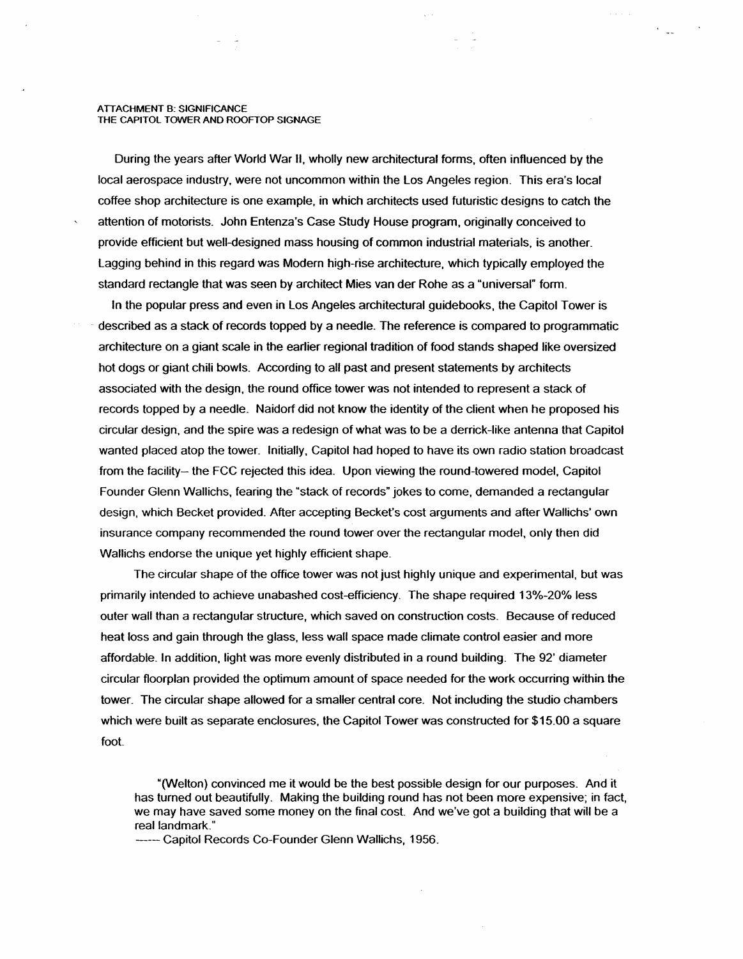During the years after World War II, wholly new architectural forms, often influenced by the local aerospace industry, were not uncommon within the Los Angeles region. This era's local coffee shop architecture is one example, in which architects used futuristic designs to catch the attention of motorists. John Entenza's Case Study House program, originally conceived to provide efficient but well-designed mass housing of common industrial materials, is another. lagging behind in this regard was Modern high-rise architecture, which typically employed the standard rectangle that was seen by architect Mies van der Rohe as a "universal" form.

 $\ddot{ }$ 

In the popular press and even in Los Angeles architectural guidebooks, the Capitol Tower is described as a stack of records topped by a needle. The reference is compared to programmatic architecture on a giant scale in the earlier regional tradition of food stands shaped like oversized hot dogs or giant chili bowls. According to all past and present statements by architects associated with the design, the round office tower was not intended to represent a stack of records topped by a needle. Naidorf did not know the identity of the client when he proposed his circular design, and the spire was a redesign of what was to be a derrick-like antenna that Capitol wanted placed atop the tower. Initially, Capitol had hoped to have its own radio station broadcast from the facility- the FCC rejected this idea. Upon viewing the round-towered model, Capitol Founder Glenn Wallichs, fearing the "stack of records" jokes to come, demanded a rectangular design, which Becket provided. After accepting Becket's cost arguments and after Wallichs' own insurance company recommended the round tower over the rectangular model, only then did Wallichs endorse the unique yet highly efficient shape.

The circular shape of the office tower was not just highly unique and experimental, but was primarily intended to achieve unabashed cost-efficiency. The shape required 13%-20% less outer wall than a rectangular structure, which saved on construction costs. Because of reduced heat loss and gain through the glass, less wall space made climate control easier and more affordable. In addition, light was more evenly distributed in a round building. The 92' diameter circular floorplan provided the optimum amount of space needed for the work occurring within the tower. The circular shape allowed for a smaller central core. Not including the studio chambers which were built as separate enclosures, the Capitol Tower was constructed for \$15.00 a square foot.

"(Welton) convinced me it would be the best possible design for our purposes. And it has turned out beautifully. Making the building round has not been more expensive; in fact, we may have saved some money on the final cost. And we've got a building that will be a real landmark."

------ Capitol Records Co-Founder Glenn Wallichs, 1956.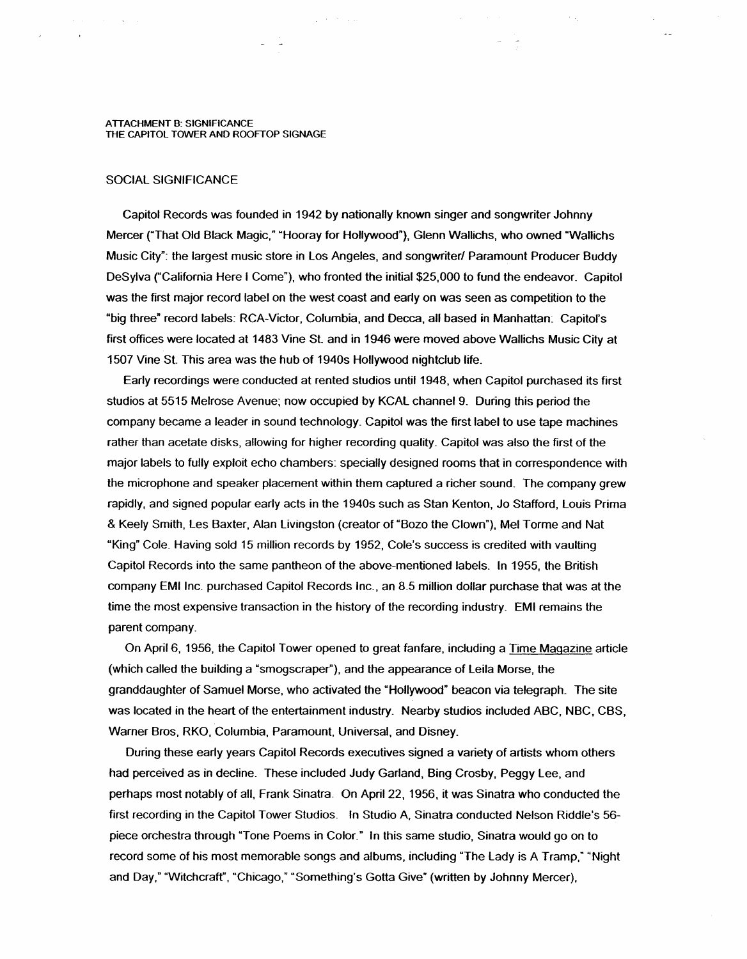$\sim$ 

#### SOCIAL SIGNIFICANCE

Capitol Records was founded in 1942 by nationally known singer and songwriter Johnny Mercer ("That Old Black Magic," "Hooray for Hollywood"), Glenn Wallichs, who owned "Wallichs Music City": the largest music store in Los Angeles, and songwriter/ Paramount Producer Buddy DeSylva ("California Here I Come"), who fronted the initial \$25,000 to fund the endeavor. Capitol was the first major record label on the west coast and early on was seen as competition to the "big three" record labels: RCA-Victor, Columbia, and Decca, all based in Manhattan: Capitol's first offices were located at 1483 Vine St. and in 1946 were moved above Wallichs Music City at 1507 Vine St. This area was the hub of 1940s Hollywood nightclub life.

 $\Delta \sim 200$  km s  $^{-1}$ 

Early recordings were conducted at rented studios until 1948, when Capitol purchased its first studios at 5515 Melrose Avenue; now occupied by KCAL channel 9. During this period the company became a leader in sound technology. Capitol was the first label to use tape machines rather than acetate disks, allowing for higher recording quality. Capitol was also the first of the major labels to fully exploit echo chambers: specially designed rooms that in correspondence with the microphone and speaker placement within them captured a richer sound. The company grew rapidly, and signed popular early acts in the 1940s such as Stan Kenton, Jo Stafford, Louis Prima & Keely Smith, Les Baxter, Alan Livingston (creator of "Bozo the Clown"), Mel Torme and Nat "King" Cole. Having sold 15 million records by 1952, Cole's success is credited with vaulting Capitol Records into the same pantheon of the above-mentioned labels. In 1955, the British company EMI Inc. purchased Capitol Records Inc., an 8.5 million dollar purchase that was at the time the most expensive transaction in the history of the recording industry. EMI remains the parent company.

On April 6, 1956, the Capitol Tower opened to great fanfare, including a Time Magazine article (which called the building a "smogscraper"), and the appearance of Leila Morse, the granddaughter of Samuel Morse, who activated the "Hollywood" beacon via telegraph\_ The site was located in the heart of the entertainment industry. Nearby studios included ABC, NBC, CBS, Warner Bros, RKO, Columbia, Paramount, Universal, and Disney.

During these early years Capitol Records executives signed a variety of artists whom others had perceived as in decline. These included Judy Garland, Bing Crosby, Peggy Lee, and perhaps most notably of all, Frank Sinatra. On April 22, 1956, it was Sinatra who conducted the first recording in the Capitol Tower Studios. In Studio A, Sinatra conducted Nelson Riddle's 56piece orchestra through "Tone Poems in Color." In this same studio, Sinatra would go on to record some of his most memorable songs and albums, including "The lady is A Tramp," "Night and Day," "Witchcraft", "Chicago," "Something's Gotta Give" (written by Johnny Mercer),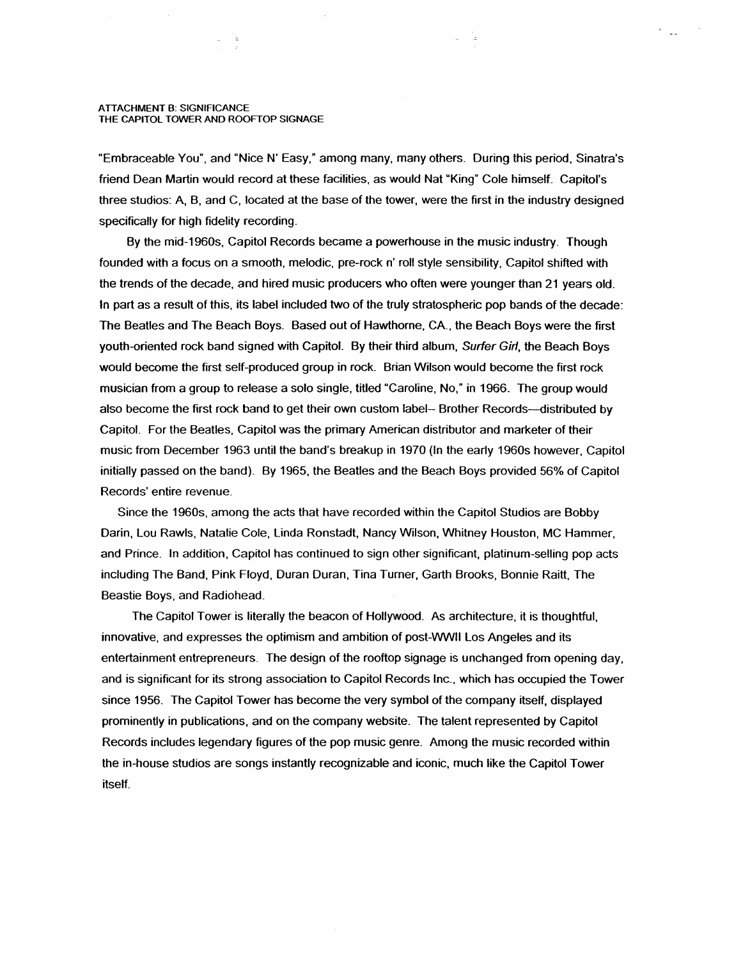-12

"Embraceable You", and "Nice N' Easy," among many, many others. During this period, Sinatra's friend Dean Martin would record at these facilities, as would Nat "King" Cole himself\_ Capitol's three studios: A, B, and C, located at the base of the tower, were the first in the industry designed specifically for high fidelity recording.

By the mid-1960s, Capitol Records became a powerhouse in the music industry. Though founded with a focus on a smooth, melodic, pre-rock n' roll style sensibility, Capitol shifted with the trends of the decade, and hired music producers who often were younger than 21 years old. In part as a result of this, its label included two of the truly stratospheric pop bands of the decade: The Beatles and The Beach Boys. Based out of Hawthorne, CA., the Beach Boys were the first youth-oriented rock band signed with Capitol. By their third album, Surfer Girl, the Beach Boys would become the first self-produced group in rock. Brian Wilson would become the first rock musician from a group to release a solo single, titled "Caroline, No," in 1966. The group would also become the first rock band to get their own custom label-- Brother Records---distributed by Capitol. For the Beatles, Capitol was the primary American distributor and marketer of their music from December 1963 until the band's breakup in 1970 (In the early 1960s however, Capitol initially passed on the band). By 1965, the Beatles and the Beach Boys provided 56% of Capitol Records' entire revenue.

Since the 1960s, among the acts that have recorded within the Capitol Studios are Bobby Darin, Lou Rawls, Natalie Cole, Linda Ronstadt, Nancy Wilson, Whitney Houston, MC Hammer. and Prince. In addition. Capitol has continued to sign other significant, platinum-selling pop acts including The Band, Pink Floyd, Duran Duran, Tina Turner, Garth Brooks, Bonnie Raitt, The Beastie Boys, and Radiohead.

The Capitol Tower is literally the beacon of Hollywood. As architecture, it is thoughtful, innovative, and expresses the optimism and ambition of post-WWII Los Angeles and its entertainment entrepreneurs. The design of the rooftop signage is unchanged from opening day, and is significant for its strong association to Capitol Records Inc., which has occupied the Tower since 1956. The Capitol Tower has become the very symbol of the company itself, displayed prominently in publications, and on the company website. The talent represented by Capitol Records includes legendary figures of the pop music genre. Among the music recorded within the in-house studios are songs instantly recognizable and iconic, much like the Capitol Tower itself.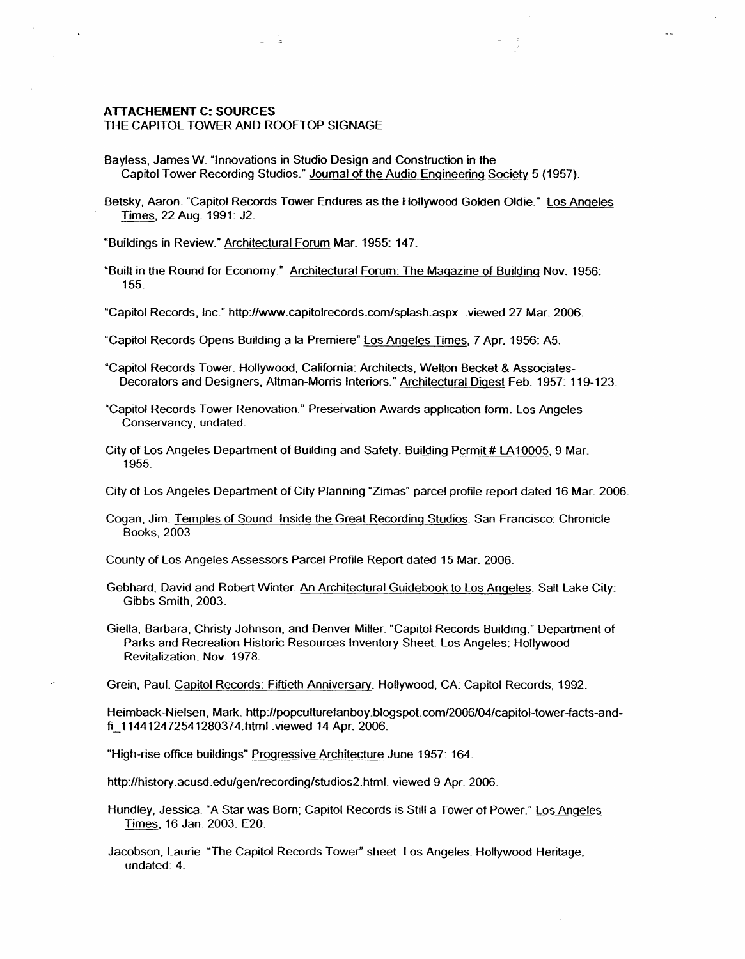### **ATTACHEMENT C: SOURCES**

#### THE CAPITOL TOWER AND ROOFTOP SIGNAGE

- Bayless, James W. "Innovations in Studio Design and Construction in the Capitol Tower Recording Studios\_" Journal of the Audio Engineering Society 5 (1957).
- Betsky, Aaron. "Capitol Records Tower Endures as the Hollywood Golden Oldie." Los Angeles Times, 22 Aug. 1991: J2.

 $\mathbf{r}$ 

"Buildings in Review." Architectural Forum Mar. 1955: 147.

"Built in the Round for Economy." Architectural Forum: The Magazine of Building Nov. 1956~ 155.

"Capitol Records, Inc." httpJ/www.capitolrecords.com/splash.aspx .viewed 27 Mar. 2006.

- "Capitol Records Opens Building a la Premiere" Los Angeles Times, 7 Apr. 1956: A5.
- "Capitol Records Tower: Hollywood, California: Architects, Welton Becket & Associates-Decorators and Designers, Altman-Morris Interiors." Architectural Digest Feb. 1957: 119-123.
- "Capitol Records Tower Renovation." Preservation Awards application form. Los Angeles Conservancy, undated.
- City of Los Angeles Department of Building and Safety. Building Permit # LA 10005, 9 Mar. 1955.

City of Los Angeles Department of City Planning "Zimas" parcel profile report dated 16 Mar. 2006.

Cogan, Jim. Temples of Sound: Inside the Great Recording Studios. San Francisco: Chronicle Books, 2003.

County of Los Angeles Assessors Parcel Profile Report dated 15 Mar. 2006.

- Gebhard, David and Robert Winter. An Architectural Guidebook to Los Angeles. Salt Lake City: Gibbs Smith, 2003.
- Giella, Barbara, Christy Johnson, and Denver Miller. "Capitol Records Building." Department of Parks and Recreation Historic Resources Inventory Sheet. Los Angeles: Hollywood Revitalization. **Nov.** 1978.

Grein, Paul. Capitol Records: Fiftieth Anniversary. Hollywood, CA: Capitol Records, 1992.

Heimback-Nielsen, Mark. http://popculturefanboy.blogspot.com/2006/04/capitol-tower-facts-andfi \_ 114412472541280374.html .viewed 14 Apr. 2006.

"High-rise office buildings" Progressive Architecture June 1957: 164.

http://history.acusd.edu/gen/recording/studios2.htmf. viewed 9 Apr. 2006.

Hundley, Jessica. "A Star was Born; Capitol Records is Still a Tower of Power." Los Angeles Times, 16 Jan. 2003: E20.

Jacobson, Laurie. "The Capitol Records Tower" sheet Los Angeles: Hollywood Heritage, undated: 4.